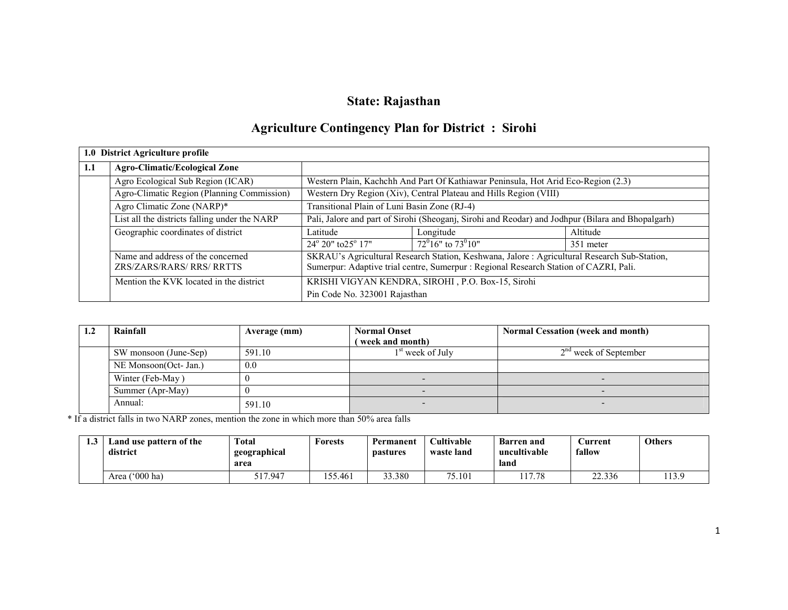## State: Rajasthan

# Agriculture Contingency Plan for District : Sirohi

|     | 1.0 District Agriculture profile                               |                                                                                                   |                                                                                                                                                                                       |           |  |  |
|-----|----------------------------------------------------------------|---------------------------------------------------------------------------------------------------|---------------------------------------------------------------------------------------------------------------------------------------------------------------------------------------|-----------|--|--|
| 1.1 | <b>Agro-Climatic/Ecological Zone</b>                           |                                                                                                   |                                                                                                                                                                                       |           |  |  |
|     | Agro Ecological Sub Region (ICAR)                              |                                                                                                   | Western Plain, Kachchh And Part Of Kathiawar Peninsula, Hot Arid Eco-Region (2.3)                                                                                                     |           |  |  |
|     | Agro-Climatic Region (Planning Commission)                     |                                                                                                   | Western Dry Region (Xiv), Central Plateau and Hills Region (VIII)                                                                                                                     |           |  |  |
|     | Agro Climatic Zone (NARP)*                                     | Transitional Plain of Luni Basin Zone (RJ-4)                                                      |                                                                                                                                                                                       |           |  |  |
|     | List all the districts falling under the NARP                  | Pali, Jalore and part of Sirohi (Sheoganj, Sirohi and Reodar) and Jodhpur (Bilara and Bhopalgarh) |                                                                                                                                                                                       |           |  |  |
|     | Geographic coordinates of district                             | Latitude                                                                                          | Longitude                                                                                                                                                                             | Altitude  |  |  |
|     |                                                                | $24^{\circ} 20^{\circ}$ to $25^{\circ} 17^{\circ}$                                                | $72^{\circ}16$ " to $73^{\circ}10$ "                                                                                                                                                  | 351 meter |  |  |
|     | Name and address of the concerned<br>ZRS/ZARS/RARS/ RRS/ RRTTS |                                                                                                   | SKRAU's Agricultural Research Station, Keshwana, Jalore : Agricultural Research Sub-Station,<br>Sumerpur: Adaptive trial centre, Sumerpur : Regional Research Station of CAZRI, Pali. |           |  |  |
|     | Mention the KVK located in the district                        |                                                                                                   | KRISHI VIGYAN KENDRA, SIROHI, P.O. Box-15, Sirohi                                                                                                                                     |           |  |  |
|     |                                                                | Pin Code No. 323001 Rajasthan                                                                     |                                                                                                                                                                                       |           |  |  |

| 1.2 | Rainfall              | Average (mm) | <b>Normal Onset</b>          | <b>Normal Cessation (week and month)</b> |
|-----|-----------------------|--------------|------------------------------|------------------------------------------|
|     |                       |              | (week and month)             |                                          |
|     | SW monsoon (June-Sep) | 591.10       | 1 <sup>st</sup> week of July | $2na$ week of September                  |
|     | NE Monsoon(Oct- Jan.) | 0.0          |                              |                                          |
|     | Winter (Feb-May)      |              |                              |                                          |
|     | Summer (Apr-May)      |              |                              |                                          |
|     | Annual:               | 591.10       |                              |                                          |

\* If a district falls in two NARP zones, mention the zone in which more than 50% area falls

| 1. . J | Land use pattern of the<br>district | <b>Total</b><br>geographical<br>area | Forests | Permanent<br><b>pastures</b> | <b>Cultivable</b><br>waste land | <b>Barren and</b><br>uncultivable<br>land | <b>∪urrent</b><br>fallow | <b>Others</b> |
|--------|-------------------------------------|--------------------------------------|---------|------------------------------|---------------------------------|-------------------------------------------|--------------------------|---------------|
|        | Area $('000 ha)$                    | 517.947                              | 55.461  | 33.380                       | 75.101                          | 17.78                                     | 22.336                   | 113.9         |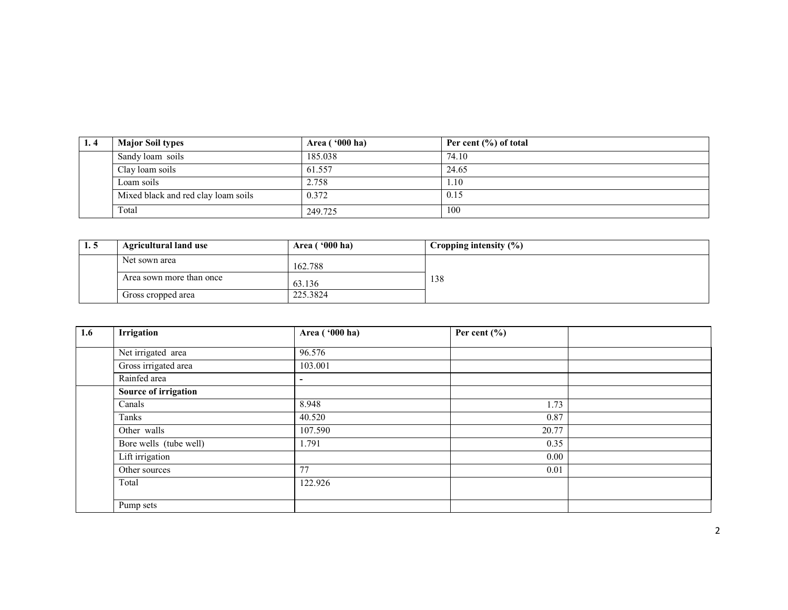| 1.4 | <b>Major Soil types</b>             | Area ('000 ha) | Per cent $(\% )$ of total |
|-----|-------------------------------------|----------------|---------------------------|
|     | Sandy loam soils                    | 185.038        | 74.10                     |
|     | Clay loam soils                     | 61.557         | 24.65                     |
|     | Loam soils                          | 2.758          | 1.10                      |
|     | Mixed black and red clay loam soils | 0.372          | 0.15                      |
|     | Total                               | 249.725        | 100                       |

| <b>1.5</b> | <b>Agricultural land use</b> | Area $(900)$ ha) | Cropping intensity $(\%)$ |
|------------|------------------------------|------------------|---------------------------|
|            | Net sown area                | 162.788          |                           |
|            | Area sown more than once     | 63.136           | 138                       |
|            | Gross cropped area           | 225.3824         |                           |

| 1.6 | Irrigation             | Area ('000 ha)           | Per cent $(\% )$ |  |
|-----|------------------------|--------------------------|------------------|--|
|     | Net irrigated area     | 96.576                   |                  |  |
|     |                        |                          |                  |  |
|     | Gross irrigated area   | 103.001                  |                  |  |
|     | Rainfed area           | $\overline{\phantom{a}}$ |                  |  |
|     | Source of irrigation   |                          |                  |  |
|     | Canals                 | 8.948                    | 1.73             |  |
|     | Tanks                  | 40.520                   | 0.87             |  |
|     | Other walls            | 107.590                  | 20.77            |  |
|     | Bore wells (tube well) | 1.791                    | 0.35             |  |
|     | Lift irrigation        |                          | 0.00             |  |
|     | Other sources          | 77                       | 0.01             |  |
|     | Total                  | 122.926                  |                  |  |
|     |                        |                          |                  |  |
|     | Pump sets              |                          |                  |  |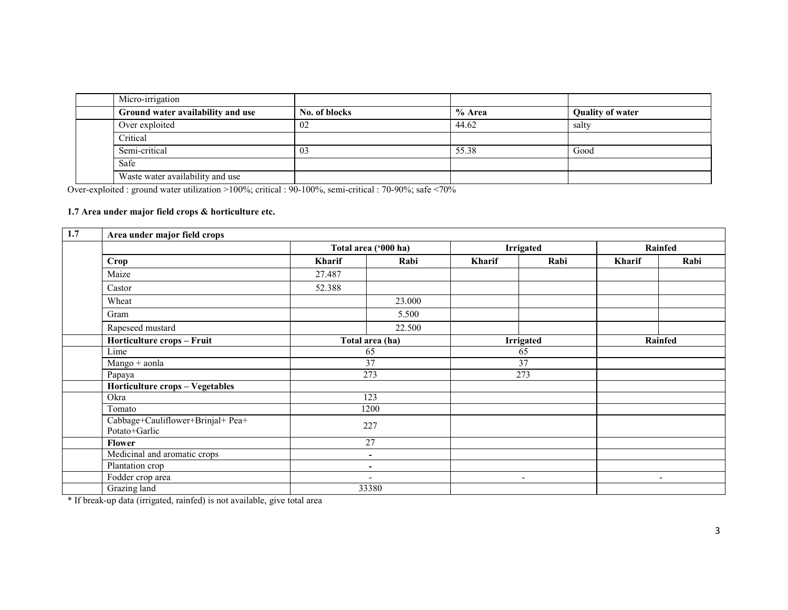| Micro-irrigation                  |               |        |                         |
|-----------------------------------|---------------|--------|-------------------------|
| Ground water availability and use | No. of blocks | % Area | <b>Quality of water</b> |
| Over exploited                    | 02            | 44.62  | salty                   |
| Critical                          |               |        |                         |
| Semi-critical                     | 03            | 55.38  | Good                    |
| Safe                              |               |        |                         |
| Waste water availability and use  |               |        |                         |

Over-exploited : ground water utilization >100%; critical : 90-100%, semi-critical : 70-90%; safe <70%

#### 1.7 Area under major field crops & horticulture etc.

| 1.7 | Area under major field crops                       |                                                      |                      |        |                          |         |                          |  |
|-----|----------------------------------------------------|------------------------------------------------------|----------------------|--------|--------------------------|---------|--------------------------|--|
|     |                                                    |                                                      | Total area ('000 ha) |        | <b>Irrigated</b>         |         | Rainfed                  |  |
|     | Crop                                               | Kharif                                               | Rabi                 | Kharif | Rabi                     | Kharif  | Rabi                     |  |
|     | Maize                                              | 27.487                                               |                      |        |                          |         |                          |  |
|     | Castor                                             | 52.388                                               |                      |        |                          |         |                          |  |
|     | Wheat                                              |                                                      | 23.000               |        |                          |         |                          |  |
|     | Gram                                               |                                                      | 5.500                |        |                          |         |                          |  |
|     | Rapeseed mustard                                   |                                                      | 22.500               |        |                          |         |                          |  |
|     | Horticulture crops - Fruit                         | Total area (ha)                                      |                      |        | <b>Irrigated</b>         | Rainfed |                          |  |
|     | Lime                                               | 65                                                   |                      | 65     |                          |         |                          |  |
|     | Mango + aonla                                      |                                                      | 37                   |        | 37                       |         |                          |  |
|     | Papaya                                             |                                                      | 273                  |        | 273                      |         |                          |  |
|     | Horticulture crops - Vegetables                    |                                                      |                      |        |                          |         |                          |  |
|     | Okra                                               |                                                      | 123                  |        |                          |         |                          |  |
|     | Tomato                                             |                                                      | 1200                 |        |                          |         |                          |  |
|     | Cabbage+Cauliflower+Brinjal+ Pea+<br>Potato+Garlic |                                                      | 227                  |        |                          |         |                          |  |
|     | <b>Flower</b>                                      |                                                      | 27                   |        |                          |         |                          |  |
|     | Medicinal and aromatic crops                       | $\overline{\phantom{a}}$<br>$\overline{\phantom{0}}$ |                      |        |                          |         |                          |  |
|     | Plantation crop                                    |                                                      |                      |        |                          |         |                          |  |
|     | Fodder crop area                                   |                                                      |                      |        | $\overline{\phantom{a}}$ |         | $\overline{\phantom{a}}$ |  |
|     | Grazing land                                       |                                                      | 33380                |        |                          |         |                          |  |

\* If break-up data (irrigated, rainfed) is not available, give total area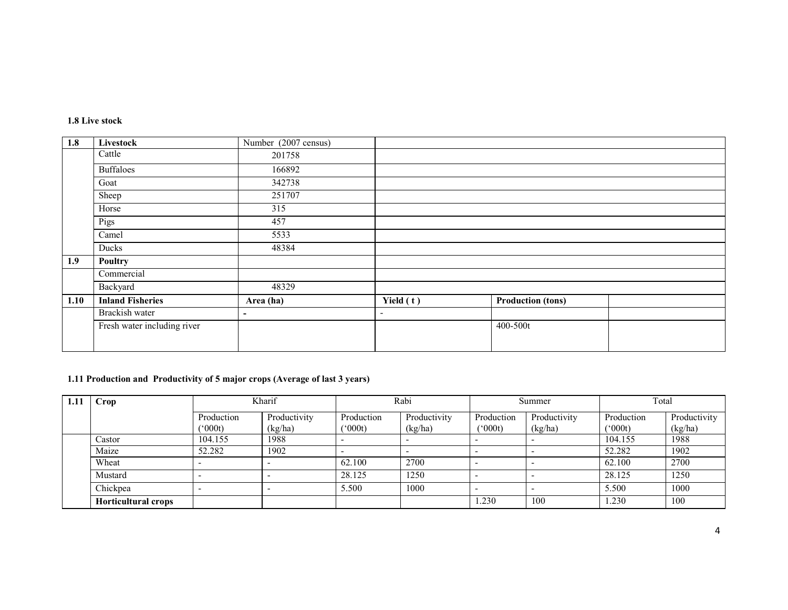#### 1.8 Live stock

| 1.8  | Livestock                   | Number (2007 census) |                          |                          |  |
|------|-----------------------------|----------------------|--------------------------|--------------------------|--|
|      | Cattle                      | 201758               |                          |                          |  |
|      | <b>Buffaloes</b>            | 166892               |                          |                          |  |
|      | Goat                        | 342738               |                          |                          |  |
|      | Sheep                       | 251707               |                          |                          |  |
|      | Horse                       | 315                  |                          |                          |  |
|      | Pigs                        | 457                  |                          |                          |  |
|      | Camel                       | 5533                 |                          |                          |  |
|      | Ducks                       | 48384                |                          |                          |  |
| 1.9  | Poultry                     |                      |                          |                          |  |
|      | Commercial                  |                      |                          |                          |  |
|      | Backyard                    | 48329                |                          |                          |  |
| 1.10 | <b>Inland Fisheries</b>     | Area (ha)            | Yield $(t)$              | <b>Production (tons)</b> |  |
|      | Brackish water              | ۰.                   | $\overline{\phantom{a}}$ |                          |  |
|      | Fresh water including river |                      |                          | 400-500t                 |  |
|      |                             |                      |                          |                          |  |

### 1.11 Production and Productivity of 5 major crops (Average of last 3 years)

| 1.11 | Crop                       | Kharif                |                         | Rabi                  |                         | Summer                              |                         | Total                |                         |
|------|----------------------------|-----------------------|-------------------------|-----------------------|-------------------------|-------------------------------------|-------------------------|----------------------|-------------------------|
|      |                            | Production<br>(°000t) | Productivity<br>(kg/ha) | Production<br>(*000t) | Productivity<br>(kg/ha) | Production<br>$^{\prime\prime}000t$ | Productivity<br>(kg/ha) | Production<br>(000t) | Productivity<br>(kg/ha) |
|      | Castor                     | 104.155               | 1988                    |                       |                         |                                     |                         | 104.155              | 1988                    |
|      | Maize                      | 52.282                | 1902                    |                       |                         |                                     |                         | 52.282               | 1902                    |
|      | Wheat                      |                       |                         | 62.100                | 2700                    |                                     |                         | 62.100               | 2700                    |
|      | Mustard                    |                       |                         | 28.125                | 1250                    |                                     |                         | 28.125               | 1250                    |
|      | Chickpea                   |                       |                         | 5.500                 | 1000                    |                                     |                         | 5.500                | 1000                    |
|      | <b>Horticultural crops</b> |                       |                         |                       |                         | .230                                | 100                     | .230                 | 100                     |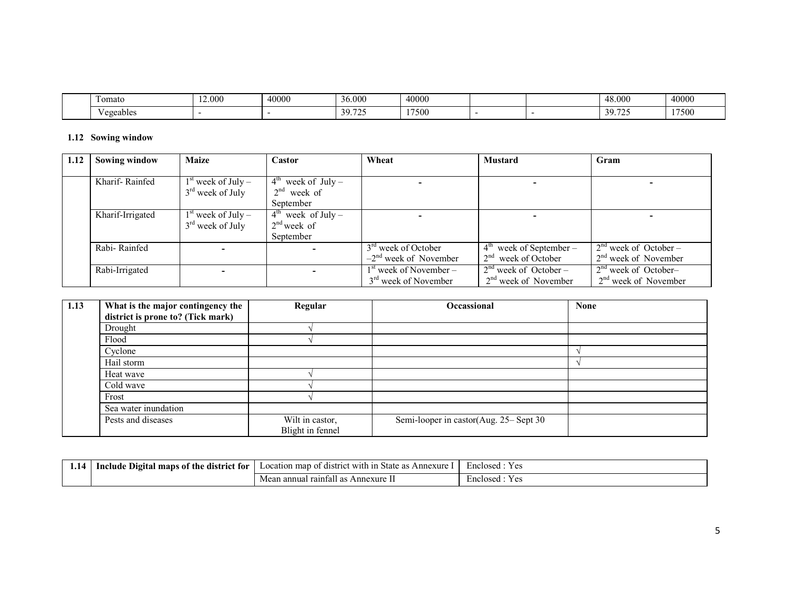| $\sim$<br>l omato | 000 | 40000 | 0.000             | 40000 |  | .8000                      | 40000 |
|-------------------|-----|-------|-------------------|-------|--|----------------------------|-------|
| egeables          |     |       | $\sim$<br>30<br>. | 17500 |  | $-$<br>4 U<br><i>JJ.IL</i> | 17500 |

#### 1.12 Sowing window

| 1.12 | <b>Sowing window</b> | <b>Maize</b>         | Castor                         | Wheat                            | <b>Mustard</b>            | Gram                    |
|------|----------------------|----------------------|--------------------------------|----------------------------------|---------------------------|-------------------------|
|      |                      |                      |                                |                                  |                           |                         |
|      | Kharif-Rainfed       | $1st$ week of July – | $4^{\text{th}}$ week of July – |                                  |                           |                         |
|      |                      | $3rd$ week of July   | $2nd$ week of                  |                                  |                           |                         |
|      |                      |                      | September                      |                                  |                           |                         |
|      | Kharif-Irrigated     | $1st$ week of July – | $4^{\text{th}}$ week of July – |                                  |                           |                         |
|      |                      | $3rd$ week of July   | $2nd$ week of                  |                                  |                           |                         |
|      |                      |                      | September                      |                                  |                           |                         |
|      | Rabi-Rainfed         |                      |                                | 3 <sup>rd</sup> week of October  | $4th$ week of September – | $2nd$ week of October – |
|      |                      |                      |                                | $-2nd$ week of November          | $2nd$ week of October     | $2nd$ week of November  |
|      | Rabi-Irrigated       |                      |                                | $1st$ week of November –         | $2nd$ week of October –   | $2nd$ week of October-  |
|      |                      |                      |                                | 3 <sup>rd</sup> week of November | $2nd$ week of November    | $2nd$ week of November  |

| 1.13 | What is the major contingency the | Regular                             | <b>Occassional</b>                    | <b>None</b> |
|------|-----------------------------------|-------------------------------------|---------------------------------------|-------------|
|      | district is prone to? (Tick mark) |                                     |                                       |             |
|      | Drought                           |                                     |                                       |             |
|      | Flood                             |                                     |                                       |             |
|      | Cyclone                           |                                     |                                       |             |
|      | Hail storm                        |                                     |                                       |             |
|      | Heat wave                         |                                     |                                       |             |
|      | Cold wave                         |                                     |                                       |             |
|      | Frost                             |                                     |                                       |             |
|      | Sea water inundation              |                                     |                                       |             |
|      | Pests and diseases                | Wilt in castor,<br>Blight in fennel | Semi-looper in castor(Aug. 25–Sept 30 |             |

| district for :<br>Include<br>mans<br>Digital<br>; of the | . man<br>Annexur<br>Location<br>` with :<br>'11CI<br>state<br>- GISTE<br>$\alpha$<br>.<br>$\mathbf{a}$ | Y es<br>Enclosed                      |
|----------------------------------------------------------|--------------------------------------------------------------------------------------------------------|---------------------------------------|
|                                                          | raintall<br>ı annual<br>Annexure<br>ഹ<br>$\mathbf{a}$<br>vical                                         | $V \rho c$<br><b>Enclosed</b><br>. U. |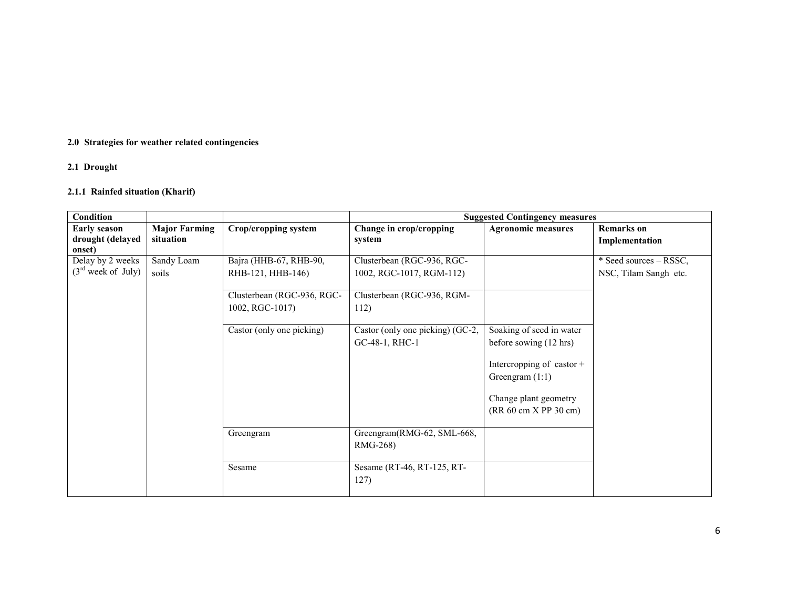## 2.0 Strategies for weather related contingencies

### 2.1 Drought

### 2.1.1 Rainfed situation (Kharif)

| <b>Condition</b>                                  |                                   |                                                                           |                                                                                      | <b>Suggested Contingency measures</b>          |                                                 |
|---------------------------------------------------|-----------------------------------|---------------------------------------------------------------------------|--------------------------------------------------------------------------------------|------------------------------------------------|-------------------------------------------------|
| <b>Early season</b><br>drought (delayed<br>onset) | <b>Major Farming</b><br>situation | Crop/cropping system                                                      | Change in crop/cropping<br>system                                                    | <b>Agronomic measures</b>                      | <b>Remarks</b> on<br>Implementation             |
| Delay by 2 weeks<br>$(3rd$ week of July)          | Sandy Loam<br>soils               | Bajra (HHB-67, RHB-90,<br>RHB-121, HHB-146)<br>Clusterbean (RGC-936, RGC- | Clusterbean (RGC-936, RGC-<br>1002, RGC-1017, RGM-112)<br>Clusterbean (RGC-936, RGM- |                                                | * Seed sources – RSSC,<br>NSC, Tilam Sangh etc. |
|                                                   |                                   | 1002, RGC-1017)<br>Castor (only one picking)                              | 112)<br>Castor (only one picking) (GC-2,                                             | Soaking of seed in water                       |                                                 |
|                                                   |                                   |                                                                           | GC-48-1, RHC-1                                                                       | before sowing (12 hrs)                         |                                                 |
|                                                   |                                   |                                                                           |                                                                                      | Intercropping of castor +<br>Greengram $(1:1)$ |                                                 |
|                                                   |                                   |                                                                           |                                                                                      | Change plant geometry<br>(RR 60 cm X PP 30 cm) |                                                 |
|                                                   |                                   | Greengram                                                                 | Greengram(RMG-62, SML-668,<br>RMG-268)                                               |                                                |                                                 |
|                                                   |                                   | Sesame                                                                    | Sesame (RT-46, RT-125, RT-<br>127)                                                   |                                                |                                                 |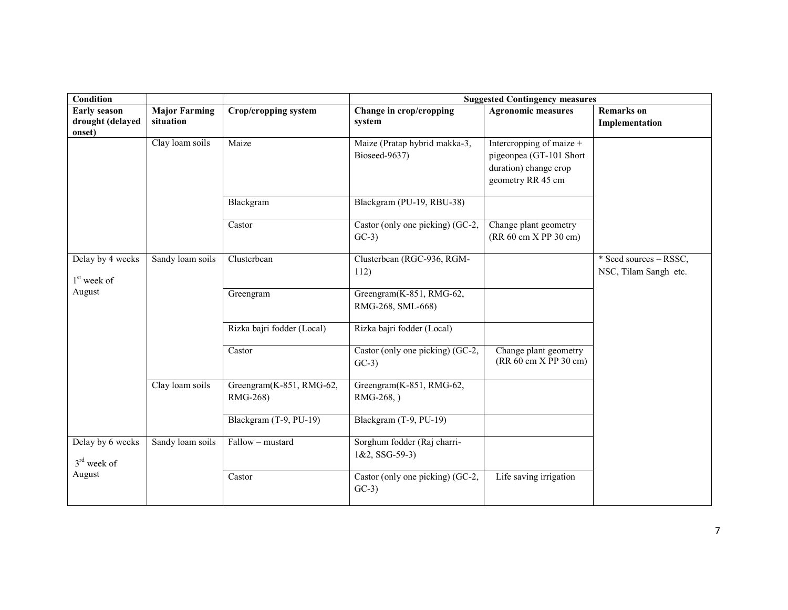| Condition                                         |                                   |                                      |                                                  | <b>Suggested Contingency measures</b>                                                             |                                                 |
|---------------------------------------------------|-----------------------------------|--------------------------------------|--------------------------------------------------|---------------------------------------------------------------------------------------------------|-------------------------------------------------|
| <b>Early season</b><br>drought (delayed<br>onset) | <b>Major Farming</b><br>situation | <b>Crop/cropping system</b>          | Change in crop/cropping<br>system                | <b>Agronomic measures</b>                                                                         | <b>Remarks</b> on<br>Implementation             |
|                                                   | Clay loam soils                   | Maize                                | Maize (Pratap hybrid makka-3,<br>Bioseed-9637)   | Intercropping of maize +<br>pigeonpea (GT-101 Short<br>duration) change crop<br>geometry RR 45 cm |                                                 |
|                                                   |                                   | Blackgram                            | Blackgram (PU-19, RBU-38)                        |                                                                                                   |                                                 |
|                                                   |                                   | Castor                               | Castor (only one picking) (GC-2,<br>$GC-3)$      | Change plant geometry<br>(RR 60 cm X PP 30 cm)                                                    |                                                 |
| Delay by 4 weeks<br>$1st$ week of                 | Sandy loam soils                  | Clusterbean                          | Clusterbean (RGC-936, RGM-<br>112)               |                                                                                                   | * Seed sources – RSSC,<br>NSC, Tilam Sangh etc. |
| August                                            |                                   | Greengram                            | Greengram(K-851, RMG-62,<br>RMG-268, SML-668)    |                                                                                                   |                                                 |
|                                                   |                                   | Rizka bajri fodder (Local)           | Rizka bajri fodder (Local)                       |                                                                                                   |                                                 |
|                                                   |                                   | Castor                               | Castor (only one picking) (GC-2,<br>$GC-3)$      | Change plant geometry<br>(RR 60 cm X PP 30 cm)                                                    |                                                 |
|                                                   | Clay loam soils                   | Greengram(K-851, RMG-62,<br>RMG-268) | Greengram(K-851, RMG-62,<br>RMG-268, )           |                                                                                                   |                                                 |
|                                                   |                                   | Blackgram (T-9, PU-19)               | Blackgram (T-9, PU-19)                           |                                                                                                   |                                                 |
| Delay by 6 weeks<br>$3rd$ week of                 | Sandy loam soils                  | Fallow - mustard                     | Sorghum fodder (Raj charri-<br>$1&2$ , SSG-59-3) |                                                                                                   |                                                 |
| August                                            |                                   | Castor                               | Castor (only one picking) (GC-2,<br>$GC-3)$      | Life saving irrigation                                                                            |                                                 |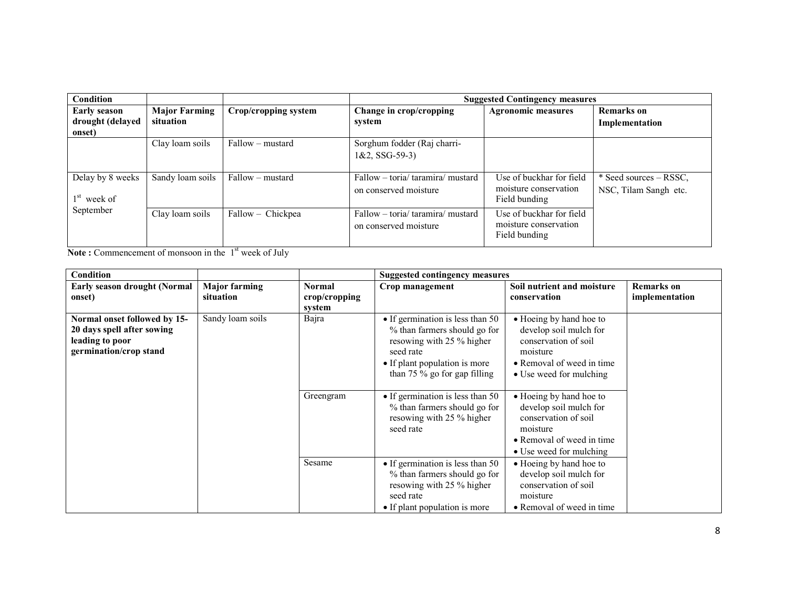| <b>Condition</b>                  |                      |                      |                                                            | <b>Suggested Contingency measures</b>                              |                                                 |
|-----------------------------------|----------------------|----------------------|------------------------------------------------------------|--------------------------------------------------------------------|-------------------------------------------------|
| <b>Early season</b>               | <b>Major Farming</b> | Crop/cropping system | Change in crop/cropping                                    | <b>Agronomic measures</b>                                          | <b>Remarks</b> on                               |
| drought (delayed<br>onset)        | situation            |                      | system                                                     |                                                                    | Implementation                                  |
|                                   | Clay loam soils      | Fallow – mustard     | Sorghum fodder (Raj charri-<br>$1&2$ , SSG-59-3)           |                                                                    |                                                 |
| Delay by 8 weeks<br>$1st$ week of | Sandy loam soils     | Fallow – mustard     | Fallow - toria/ taramira/ mustard<br>on conserved moisture | Use of buckhar for field<br>moisture conservation<br>Field bunding | * Seed sources – RSSC,<br>NSC, Tilam Sangh etc. |
| September                         | Clay loam soils      | Fallow – Chickpea    | Fallow - toria/ taramira/ mustard<br>on conserved moisture | Use of buckhar for field<br>moisture conservation<br>Field bunding |                                                 |

**Note :** Commencement of monsoon in the  $1<sup>st</sup>$  week of July

| Condition                                                                                               |                                   |                                                      | <b>Suggested contingency measures</b>                                                                                                                                                 |                                                                                                                                               |                                     |
|---------------------------------------------------------------------------------------------------------|-----------------------------------|------------------------------------------------------|---------------------------------------------------------------------------------------------------------------------------------------------------------------------------------------|-----------------------------------------------------------------------------------------------------------------------------------------------|-------------------------------------|
| Early season drought (Normal<br>onset)                                                                  | <b>Major farming</b><br>situation | <b>Normal</b><br>$\mathbf{crop/c}$ ropping<br>system | Crop management                                                                                                                                                                       | Soil nutrient and moisture<br>conservation                                                                                                    | <b>Remarks</b> on<br>implementation |
| Normal onset followed by 15-<br>20 days spell after sowing<br>leading to poor<br>germination/crop stand | Sandy loam soils                  | Bajra                                                | $\bullet$ If germination is less than 50<br>% than farmers should go for<br>resowing with 25 % higher<br>seed rate<br>• If plant population is more<br>than $75\%$ go for gap filling | • Hoeing by hand hoe to<br>develop soil mulch for<br>conservation of soil<br>moisture<br>• Removal of weed in time<br>• Use weed for mulching |                                     |
|                                                                                                         |                                   | Greengram                                            | $\bullet$ If germination is less than 50<br>% than farmers should go for<br>resowing with 25 % higher<br>seed rate                                                                    | • Hoeing by hand hoe to<br>develop soil mulch for<br>conservation of soil<br>moisture<br>• Removal of weed in time<br>• Use weed for mulching |                                     |
|                                                                                                         |                                   | Sesame                                               | • If germination is less than $50$<br>% than farmers should go for<br>resowing with 25 % higher<br>seed rate<br>• If plant population is more                                         | • Hoeing by hand hoe to<br>develop soil mulch for<br>conservation of soil<br>moisture<br>• Removal of weed in time                            |                                     |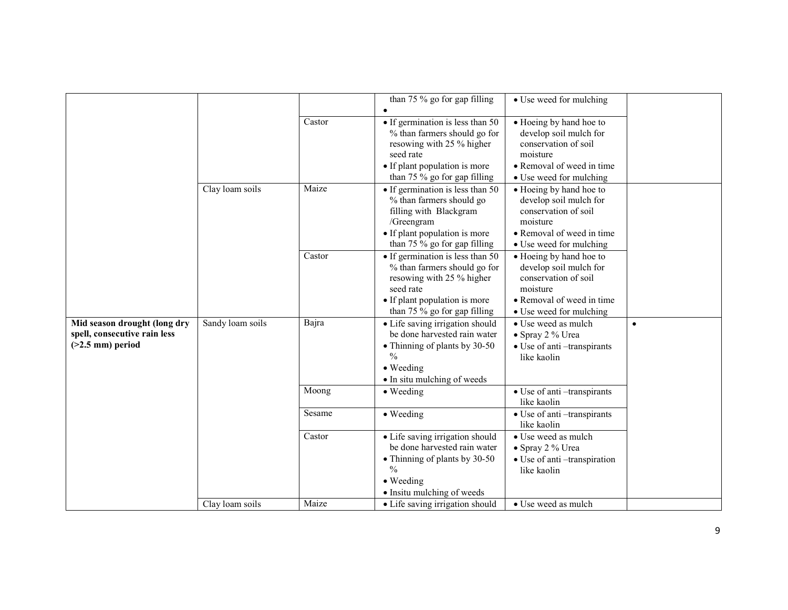|                              |                  |        | than 75 $\%$ go for gap filling          | • Use weed for mulching                   |           |
|------------------------------|------------------|--------|------------------------------------------|-------------------------------------------|-----------|
|                              |                  |        |                                          |                                           |           |
|                              |                  | Castor | • If germination is less than 50         | • Hoeing by hand hoe to                   |           |
|                              |                  |        | % than farmers should go for             | develop soil mulch for                    |           |
|                              |                  |        | resowing with 25 % higher                | conservation of soil                      |           |
|                              |                  |        | seed rate                                | moisture                                  |           |
|                              |                  |        | • If plant population is more            | • Removal of weed in time                 |           |
|                              |                  |        | than 75 % go for gap filling             | • Use weed for mulching                   |           |
|                              | Clay loam soils  | Maize  | $\bullet$ If germination is less than 50 | • Hoeing by hand hoe to                   |           |
|                              |                  |        | % than farmers should go                 | develop soil mulch for                    |           |
|                              |                  |        | filling with Blackgram                   | conservation of soil                      |           |
|                              |                  |        | /Greengram                               | moisture                                  |           |
|                              |                  |        | • If plant population is more            | • Removal of weed in time                 |           |
|                              |                  |        | than 75 % go for gap filling             | • Use weed for mulching                   |           |
|                              |                  | Castor | • If germination is less than 50         | • Hoeing by hand hoe to                   |           |
|                              |                  |        | % than farmers should go for             | develop soil mulch for                    |           |
|                              |                  |        | resowing with 25 % higher                | conservation of soil                      |           |
|                              |                  |        | seed rate                                | moisture                                  |           |
|                              |                  |        | • If plant population is more            | • Removal of weed in time                 |           |
|                              |                  |        | than 75 % go for gap filling             | • Use weed for mulching                   |           |
| Mid season drought (long dry | Sandy loam soils | Bajra  | • Life saving irrigation should          | • Use weed as mulch                       | $\bullet$ |
| spell, consecutive rain less |                  |        | be done harvested rain water             | • Spray 2 % Urea                          |           |
| $(>2.5$ mm) period           |                  |        | • Thinning of plants by 30-50            | · Use of anti-transpirants                |           |
|                              |                  |        | $\frac{0}{0}$                            | like kaolin                               |           |
|                              |                  |        | $\bullet$ Weeding                        |                                           |           |
|                              |                  |        | • In situ mulching of weeds              |                                           |           |
|                              |                  | Moong  | $\bullet$ Weeding                        | • Use of anti-transpirants<br>like kaolin |           |
|                              |                  | Sesame |                                          |                                           |           |
|                              |                  |        | • Weeding                                | • Use of anti-transpirants<br>like kaolin |           |
|                              |                  | Castor | • Life saving irrigation should          | • Use weed as mulch                       |           |
|                              |                  |        | be done harvested rain water             | • Spray 2 % Urea                          |           |
|                              |                  |        | • Thinning of plants by 30-50            | • Use of anti-transpiration               |           |
|                              |                  |        | $\frac{0}{0}$                            | like kaolin                               |           |
|                              |                  |        | • Weeding                                |                                           |           |
|                              |                  |        | • Insitu mulching of weeds               |                                           |           |
|                              | Clay loam soils  | Maize  | • Life saving irrigation should          | • Use weed as mulch                       |           |
|                              |                  |        |                                          |                                           |           |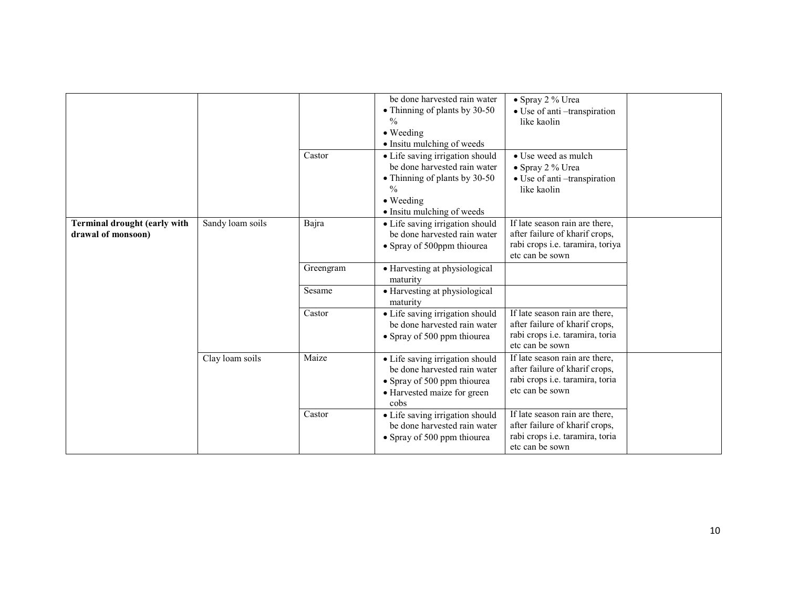|                                                           |                  |           | be done harvested rain water<br>• Thinning of plants by 30-50<br>$\frac{0}{0}$<br>• Weeding<br>• Insitu mulching of weeds                                    | • Spray 2 % Urea<br>• Use of anti-transpiration<br>like kaolin                                                          |
|-----------------------------------------------------------|------------------|-----------|--------------------------------------------------------------------------------------------------------------------------------------------------------------|-------------------------------------------------------------------------------------------------------------------------|
|                                                           |                  | Castor    | • Life saving irrigation should<br>be done harvested rain water<br>• Thinning of plants by 30-50<br>$\frac{0}{0}$<br>• Weeding<br>• Insitu mulching of weeds | • Use weed as mulch<br>• Spray 2 % Urea<br>• Use of anti-transpiration<br>like kaolin                                   |
| <b>Terminal drought (early with</b><br>drawal of monsoon) | Sandy loam soils | Bajra     | • Life saving irrigation should<br>be done harvested rain water<br>• Spray of 500ppm thiourea                                                                | If late season rain are there,<br>after failure of kharif crops,<br>rabi crops i.e. taramira, toriya<br>etc can be sown |
|                                                           |                  | Greengram | • Harvesting at physiological<br>maturity                                                                                                                    |                                                                                                                         |
|                                                           |                  | Sesame    | • Harvesting at physiological<br>maturity                                                                                                                    |                                                                                                                         |
|                                                           |                  | Castor    | • Life saving irrigation should<br>be done harvested rain water<br>• Spray of 500 ppm thiourea                                                               | If late season rain are there,<br>after failure of kharif crops,<br>rabi crops i.e. taramira, toria<br>etc can be sown  |
|                                                           | Clay loam soils  | Maize     | • Life saving irrigation should<br>be done harvested rain water<br>• Spray of 500 ppm thiourea<br>• Harvested maize for green<br>cobs                        | If late season rain are there,<br>after failure of kharif crops,<br>rabi crops i.e. taramira, toria<br>etc can be sown  |
|                                                           |                  | Castor    | • Life saving irrigation should<br>be done harvested rain water<br>• Spray of 500 ppm thiourea                                                               | If late season rain are there,<br>after failure of kharif crops,<br>rabi crops i.e. taramira, toria<br>etc can be sown  |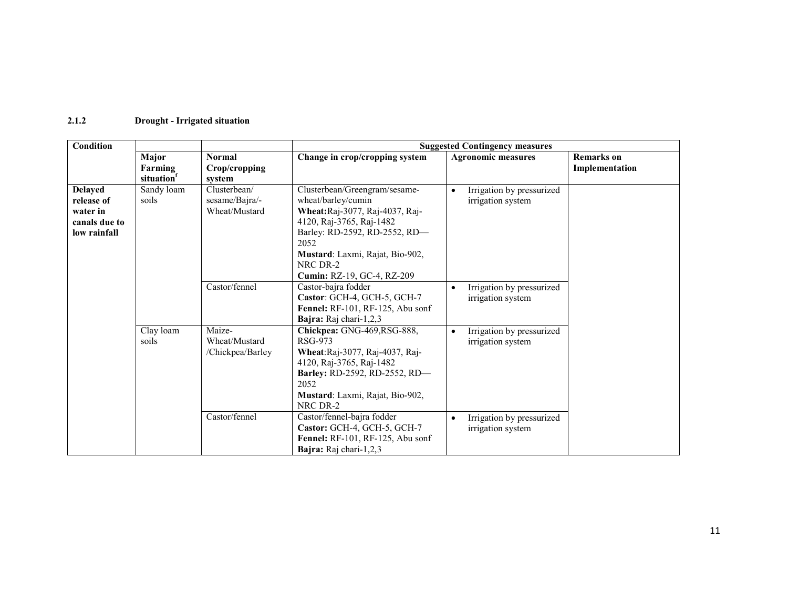#### 2.1.2 Drought - Irrigated situation

| <b>Condition</b>                                                          |                      |                                                 |                                                                                                                                                                                                                                         | <b>Suggested Contingency measures</b>                       |                   |
|---------------------------------------------------------------------------|----------------------|-------------------------------------------------|-----------------------------------------------------------------------------------------------------------------------------------------------------------------------------------------------------------------------------------------|-------------------------------------------------------------|-------------------|
|                                                                           | Major                | <b>Normal</b>                                   | Change in crop/cropping system                                                                                                                                                                                                          | <b>Agronomic measures</b>                                   | <b>Remarks</b> on |
|                                                                           | Farming<br>situation | Crop/cropping<br>system                         |                                                                                                                                                                                                                                         |                                                             | Implementation    |
| <b>Delayed</b><br>release of<br>water in<br>canals due to<br>low rainfall | Sandy loam<br>soils  | Clusterbean/<br>sesame/Bajra/-<br>Wheat/Mustard | Clusterbean/Greengram/sesame-<br>wheat/barley/cumin<br>Wheat:Raj-3077, Raj-4037, Raj-<br>4120, Raj-3765, Raj-1482<br>Barley: RD-2592, RD-2552, RD-<br>2052<br>Mustard: Laxmi, Rajat, Bio-902,<br>NRC DR-2<br>Cumin: RZ-19, GC-4, RZ-209 | Irrigation by pressurized<br>irrigation system              |                   |
|                                                                           |                      | Castor/fennel                                   | Castor-bajra fodder<br>Castor: GCH-4, GCH-5, GCH-7<br>Fennel: RF-101, RF-125, Abu sonf<br>Bajra: Raj chari-1,2,3                                                                                                                        | Irrigation by pressurized<br>irrigation system              |                   |
|                                                                           | Clay loam<br>soils   | Maize-<br>Wheat/Mustard<br>/Chickpea/Barley     | Chickpea: GNG-469,RSG-888,<br>RSG-973<br>Wheat:Raj-3077, Raj-4037, Raj-<br>4120, Raj-3765, Raj-1482<br>Barley: RD-2592, RD-2552, RD-<br>2052<br>Mustard: Laxmi, Rajat, Bio-902,<br>NRC DR-2                                             | Irrigation by pressurized<br>irrigation system              |                   |
|                                                                           |                      | Castor/fennel                                   | Castor/fennel-bajra fodder<br>Castor: GCH-4, GCH-5, GCH-7<br><b>Fennel:</b> RF-101, RF-125, Abu sonf<br>Bajra: Raj chari-1,2,3                                                                                                          | Irrigation by pressurized<br>$\bullet$<br>irrigation system |                   |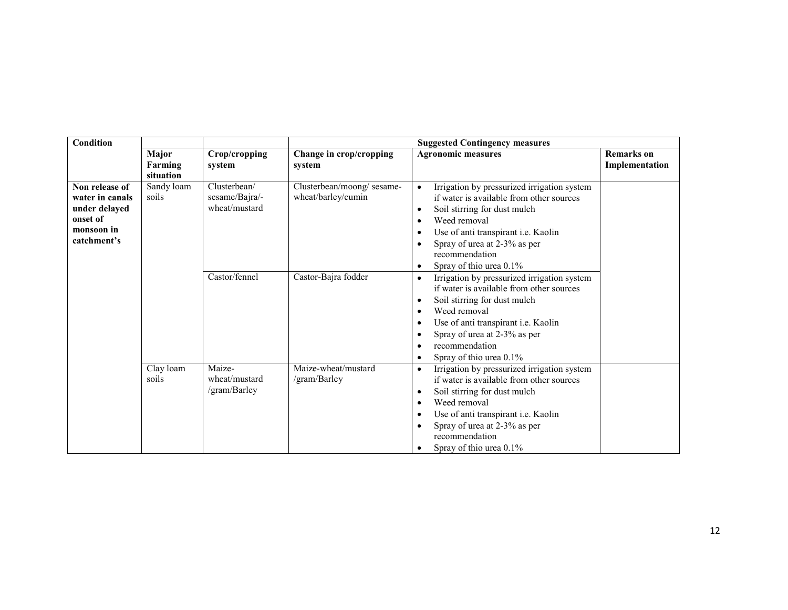| Condition                                                                                   |                      |                                                 | <b>Suggested Contingency measures</b>           |                                                                                                                                                                                                                                                                                                    |                   |  |  |
|---------------------------------------------------------------------------------------------|----------------------|-------------------------------------------------|-------------------------------------------------|----------------------------------------------------------------------------------------------------------------------------------------------------------------------------------------------------------------------------------------------------------------------------------------------------|-------------------|--|--|
|                                                                                             | Major                | Crop/cropping                                   | Change in crop/cropping                         | <b>Agronomic measures</b>                                                                                                                                                                                                                                                                          | <b>Remarks</b> on |  |  |
|                                                                                             | Farming<br>situation | system                                          | system                                          |                                                                                                                                                                                                                                                                                                    | Implementation    |  |  |
| Non release of<br>water in canals<br>under delayed<br>onset of<br>monsoon in<br>catchment's | Sandy loam<br>soils  | Clusterbean/<br>sesame/Bajra/-<br>wheat/mustard | Clusterbean/moong/sesame-<br>wheat/barley/cumin | Irrigation by pressurized irrigation system<br>if water is available from other sources<br>Soil stirring for dust mulch<br>Weed removal<br>Use of anti transpirant i.e. Kaolin<br>Spray of urea at 2-3% as per<br>recommendation<br>Spray of thio urea 0.1%                                        |                   |  |  |
|                                                                                             |                      | Castor/fennel                                   | Castor-Bajra fodder                             | Irrigation by pressurized irrigation system<br>$\bullet$<br>if water is available from other sources<br>Soil stirring for dust mulch<br>Weed removal<br>Use of anti transpirant i.e. Kaolin<br>Spray of urea at 2-3% as per<br>recommendation<br>Spray of thio urea 0.1%                           |                   |  |  |
|                                                                                             | Clay loam<br>soils   | Maize-<br>wheat/mustard<br>/gram/Barley         | Maize-wheat/mustard<br>/gram/Barley             | Irrigation by pressurized irrigation system<br>$\bullet$<br>if water is available from other sources<br>Soil stirring for dust mulch<br>$\bullet$<br>Weed removal<br>$\bullet$<br>Use of anti transpirant i.e. Kaolin<br>Spray of urea at 2-3% as per<br>recommendation<br>Spray of thio urea 0.1% |                   |  |  |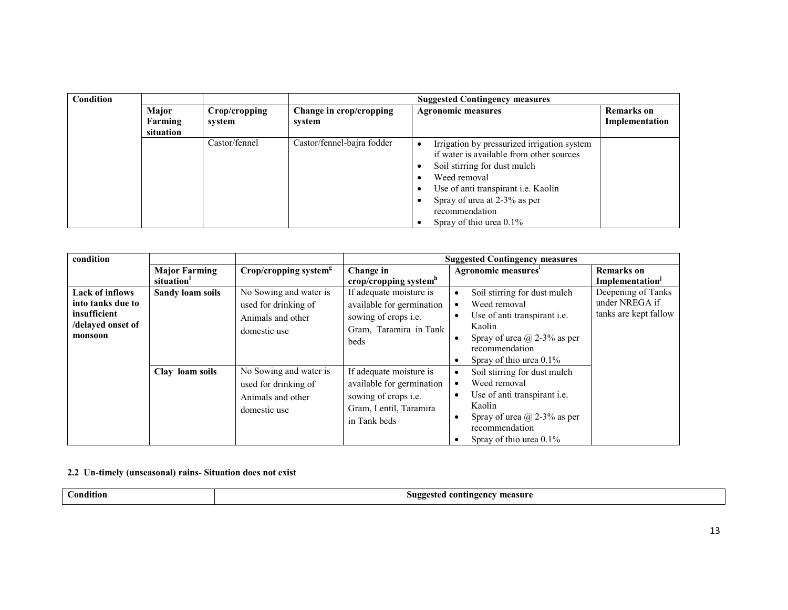| Condition |           |               | <b>Suggested Contingency measures</b>                |                                                                                                                                                                                                                                                                |                   |  |  |
|-----------|-----------|---------------|------------------------------------------------------|----------------------------------------------------------------------------------------------------------------------------------------------------------------------------------------------------------------------------------------------------------------|-------------------|--|--|
|           | Major     | Crop/cropping | <b>Agronomic measures</b><br>Change in crop/cropping |                                                                                                                                                                                                                                                                | <b>Remarks</b> on |  |  |
|           | Farming   | system        | system                                               |                                                                                                                                                                                                                                                                | Implementation    |  |  |
|           | situation |               |                                                      |                                                                                                                                                                                                                                                                |                   |  |  |
|           |           | Castor/fennel | Castor/fennel-bajra fodder                           | Irrigation by pressurized irrigation system<br>if water is available from other sources<br>Soil stirring for dust mulch<br>Weed removal<br>Use of anti transpirant i.e. Kaolin<br>Spray of urea at 2-3% as per<br>recommendation<br>Spray of thio urea $0.1\%$ |                   |  |  |

| condition                                                                                   |                         |                                                                                     |                                                                                                                       | <b>Suggested Contingency measures</b>                                                                                                                            |                                                               |
|---------------------------------------------------------------------------------------------|-------------------------|-------------------------------------------------------------------------------------|-----------------------------------------------------------------------------------------------------------------------|------------------------------------------------------------------------------------------------------------------------------------------------------------------|---------------------------------------------------------------|
|                                                                                             | <b>Major Farming</b>    | $Crop/cropping$ system <sup>g</sup>                                                 | Change in                                                                                                             | Agronomic measures'                                                                                                                                              | <b>Remarks</b> on                                             |
|                                                                                             | situation               |                                                                                     | crop/cropping system $h$                                                                                              |                                                                                                                                                                  | Implementation <sup>J</sup>                                   |
| <b>Lack of inflows</b><br>into tanks due to<br>insufficient<br>/delayed onset of<br>monsoon | <b>Sandy loam soils</b> | No Sowing and water is<br>used for drinking of<br>Animals and other<br>domestic use | If adequate moisture is<br>available for germination<br>sowing of crops <i>i.e.</i><br>Gram, Taramira in Tank<br>beds | Soil stirring for dust mulch<br>Weed removal<br>Use of anti transpirant <i>i.e.</i><br>$\bullet$<br>Kaolin<br>Spray of urea $\omega$ 2-3% as per                 | Deepening of Tanks<br>under NREGA if<br>tanks are kept fallow |
|                                                                                             | Clay loam soils         | No Sowing and water is                                                              | If adequate moisture is                                                                                               | recommendation<br>Spray of thio urea 0.1%<br>Soil stirring for dust mulch                                                                                        |                                                               |
|                                                                                             |                         | used for drinking of<br>Animals and other<br>domestic use                           | available for germination<br>sowing of crops i.e.<br>Gram, Lentil, Taramira<br>in Tank beds                           | Weed removal<br>Use of anti transpirant <i>i.e.</i><br>$\bullet$<br>Kaolin<br>Spray of urea $\omega$ 2-3% as per<br>recommendation<br>Spray of thio urea $0.1\%$ |                                                               |

#### 2.2 Un-timely (unseasonal) rains- Situation does not exist

Condition Suggested contingency measure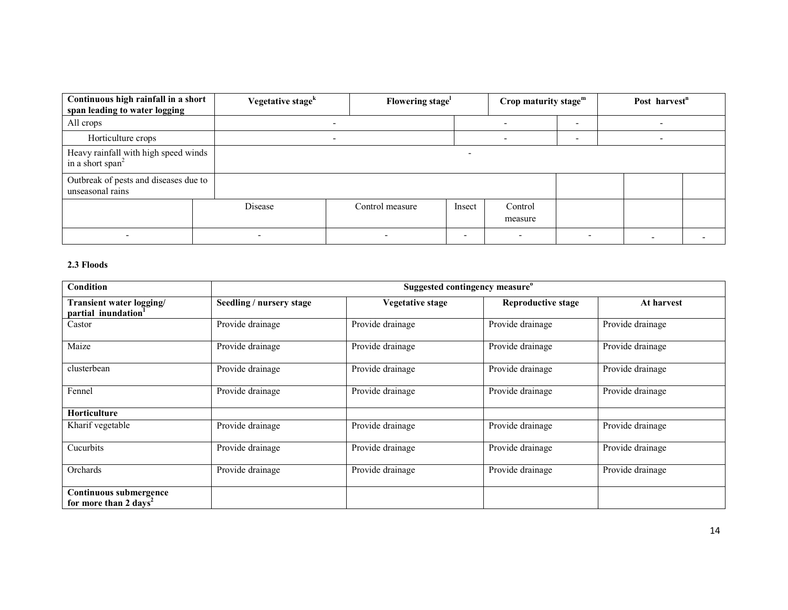| Continuous high rainfall in a short<br>span leading to water logging | Vegetative stage <sup>k</sup> | Flowering stage          |        | Crop maturity stage $m$ |  | Post harvest <sup>n</sup> |  |
|----------------------------------------------------------------------|-------------------------------|--------------------------|--------|-------------------------|--|---------------------------|--|
| All crops                                                            |                               |                          |        |                         |  |                           |  |
| Horticulture crops                                                   |                               | $\overline{\phantom{0}}$ |        |                         |  | $\overline{\phantom{0}}$  |  |
| Heavy rainfall with high speed winds<br>in a short span <sup>2</sup> |                               |                          |        |                         |  |                           |  |
| Outbreak of pests and diseases due to<br>unseasonal rains            |                               |                          |        |                         |  |                           |  |
|                                                                      | Disease                       | Control measure          | Insect | Control<br>measure      |  |                           |  |
|                                                                      | $\overline{\phantom{0}}$      |                          | ۰      | -                       |  |                           |  |

#### 2.3 Floods

| Condition                                                   | Suggested contingency measure <sup>o</sup> |                  |                           |                  |
|-------------------------------------------------------------|--------------------------------------------|------------------|---------------------------|------------------|
| Transient water logging/<br>partial inundation <sup>1</sup> | Seedling / nursery stage                   | Vegetative stage | <b>Reproductive stage</b> | At harvest       |
| Castor                                                      | Provide drainage                           | Provide drainage | Provide drainage          | Provide drainage |
| Maize                                                       | Provide drainage                           | Provide drainage | Provide drainage          | Provide drainage |
| clusterbean                                                 | Provide drainage                           | Provide drainage | Provide drainage          | Provide drainage |
| Fennel                                                      | Provide drainage                           | Provide drainage | Provide drainage          | Provide drainage |
| <b>Horticulture</b>                                         |                                            |                  |                           |                  |
| Kharif vegetable                                            | Provide drainage                           | Provide drainage | Provide drainage          | Provide drainage |
| Cucurbits                                                   | Provide drainage                           | Provide drainage | Provide drainage          | Provide drainage |
| Orchards                                                    | Provide drainage                           | Provide drainage | Provide drainage          | Provide drainage |
| Continuous submergence<br>for more than 2 days <sup>2</sup> |                                            |                  |                           |                  |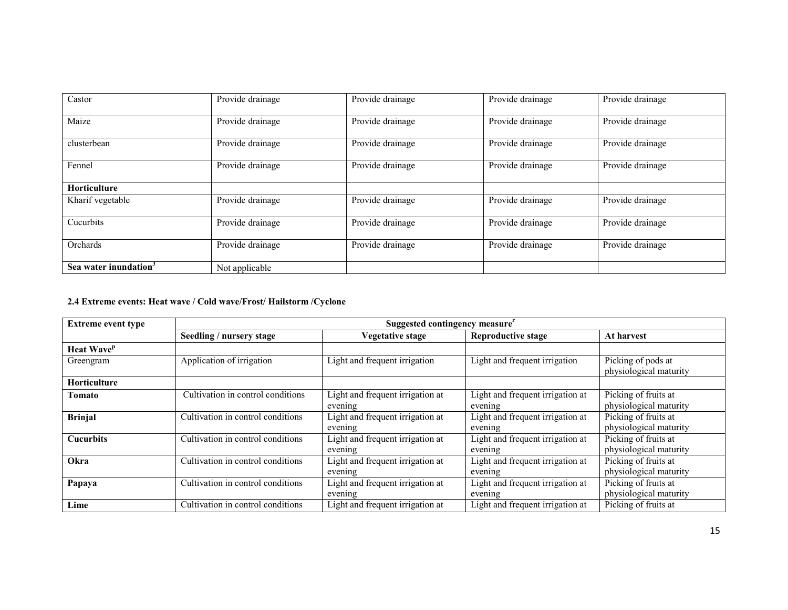| Castor                            | Provide drainage | Provide drainage | Provide drainage | Provide drainage |
|-----------------------------------|------------------|------------------|------------------|------------------|
| Maize                             | Provide drainage | Provide drainage | Provide drainage | Provide drainage |
| clusterbean                       | Provide drainage | Provide drainage | Provide drainage | Provide drainage |
| Fennel                            | Provide drainage | Provide drainage | Provide drainage | Provide drainage |
| <b>Horticulture</b>               |                  |                  |                  |                  |
| Kharif vegetable                  | Provide drainage | Provide drainage | Provide drainage | Provide drainage |
| Cucurbits                         | Provide drainage | Provide drainage | Provide drainage | Provide drainage |
| Orchards                          | Provide drainage | Provide drainage | Provide drainage | Provide drainage |
| Sea water inundation <sup>3</sup> | Not applicable   |                  |                  |                  |

### 2.4 Extreme events: Heat wave / Cold wave/Frost/ Hailstorm /Cyclone

| <b>Extreme event type</b>     | Suggested contingency measure"    |                                             |                                             |                                                |  |
|-------------------------------|-----------------------------------|---------------------------------------------|---------------------------------------------|------------------------------------------------|--|
|                               | Seedling / nursery stage          | Vegetative stage                            | <b>Reproductive stage</b>                   | At harvest                                     |  |
| <b>Heat Wave</b> <sup>p</sup> |                                   |                                             |                                             |                                                |  |
| Greengram                     | Application of irrigation         | Light and frequent irrigation               | Light and frequent irrigation               | Picking of pods at<br>physiological maturity   |  |
| Horticulture                  |                                   |                                             |                                             |                                                |  |
| Tomato                        | Cultivation in control conditions | Light and frequent irrigation at<br>evening | Light and frequent irrigation at<br>evening | Picking of fruits at<br>physiological maturity |  |
| <b>Brinjal</b>                | Cultivation in control conditions | Light and frequent irrigation at<br>evening | Light and frequent irrigation at<br>evening | Picking of fruits at<br>physiological maturity |  |
| <b>Cucurbits</b>              | Cultivation in control conditions | Light and frequent irrigation at<br>evening | Light and frequent irrigation at<br>evening | Picking of fruits at<br>physiological maturity |  |
| Okra                          | Cultivation in control conditions | Light and frequent irrigation at<br>evening | Light and frequent irrigation at<br>evening | Picking of fruits at<br>physiological maturity |  |
| Papaya                        | Cultivation in control conditions | Light and frequent irrigation at<br>evening | Light and frequent irrigation at<br>evening | Picking of fruits at<br>physiological maturity |  |
| Lime                          | Cultivation in control conditions | Light and frequent irrigation at            | Light and frequent irrigation at            | Picking of fruits at                           |  |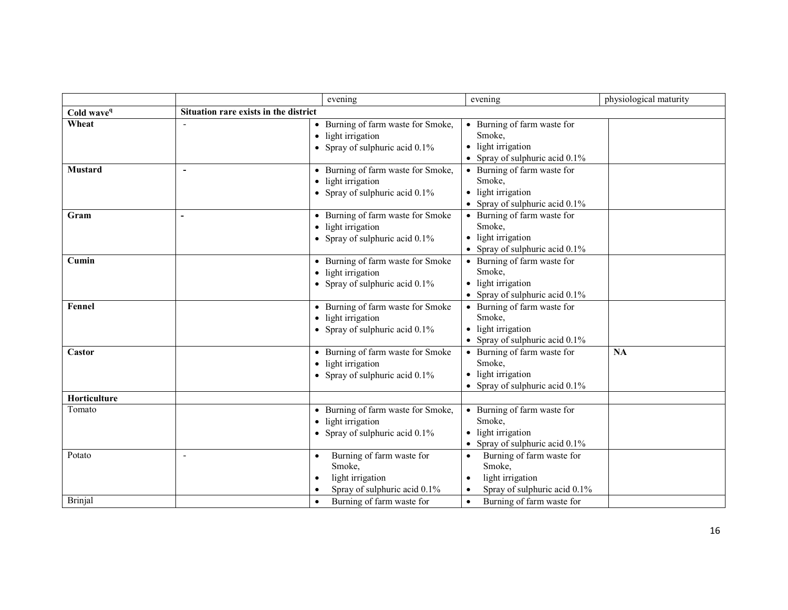|                        |                                       | evening                                                                                              | evening                                                                                          | physiological maturity |
|------------------------|---------------------------------------|------------------------------------------------------------------------------------------------------|--------------------------------------------------------------------------------------------------|------------------------|
| Cold wave <sup>q</sup> | Situation rare exists in the district |                                                                                                      |                                                                                                  |                        |
| Wheat                  |                                       | • Burning of farm waste for Smoke,<br>• light irrigation<br>• Spray of sulphuric acid $0.1\%$        | • Burning of farm waste for<br>Smoke.<br>• light irrigation<br>Spray of sulphuric acid 0.1%      |                        |
| <b>Mustard</b>         | $\overline{\phantom{a}}$              | • Burning of farm waste for Smoke,<br>• light irrigation<br>• Spray of sulphuric acid $0.1\%$        | • Burning of farm waste for<br>Smoke,<br>• light irrigation<br>• Spray of sulphuric acid $0.1\%$ |                        |
| Gram                   | $\blacksquare$                        | • Burning of farm waste for Smoke<br>• light irrigation<br>• Spray of sulphuric acid $0.1\%$         | • Burning of farm waste for<br>Smoke,<br>• light irrigation<br>• Spray of sulphuric acid $0.1\%$ |                        |
| Cumin                  |                                       | • Burning of farm waste for Smoke<br>• light irrigation<br>• Spray of sulphuric acid $0.1\%$         | • Burning of farm waste for<br>Smoke.<br>• light irrigation<br>• Spray of sulphuric acid 0.1%    |                        |
| Fennel                 |                                       | • Burning of farm waste for Smoke<br>• light irrigation<br>• Spray of sulphuric acid $0.1\%$         | • Burning of farm waste for<br>Smoke,<br>• light irrigation<br>• Spray of sulphuric acid $0.1\%$ |                        |
| Castor                 |                                       | • Burning of farm waste for Smoke<br>light irrigation<br>• Spray of sulphuric acid $0.1\%$           | • Burning of farm waste for<br>Smoke,<br>light irrigation<br>• Spray of sulphuric acid $0.1\%$   | <b>NA</b>              |
| Horticulture           |                                       |                                                                                                      |                                                                                                  |                        |
| Tomato                 |                                       | • Burning of farm waste for Smoke,<br>light irrigation<br>• Spray of sulphuric acid $0.1\%$          | • Burning of farm waste for<br>Smoke,<br>• light irrigation<br>• Spray of sulphuric acid $0.1\%$ |                        |
| Potato                 | $\blacksquare$                        | Burning of farm waste for<br>$\bullet$<br>Smoke,<br>light irrigation<br>Spray of sulphuric acid 0.1% | Burning of farm waste for<br>Smoke,<br>light irrigation<br>Spray of sulphuric acid 0.1%          |                        |
| <b>Brinjal</b>         |                                       | Burning of farm waste for                                                                            | Burning of farm waste for<br>$\bullet$                                                           |                        |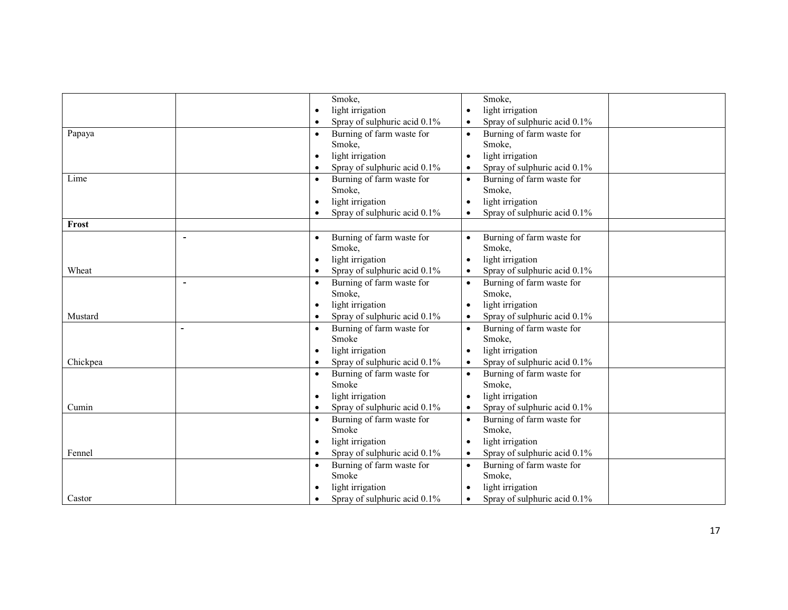|          |                | Smoke,                                 | Smoke,                                    |
|----------|----------------|----------------------------------------|-------------------------------------------|
|          |                | light irrigation                       | light irrigation                          |
|          |                | Spray of sulphuric acid 0.1%           | Spray of sulphuric acid 0.1%              |
| Papaya   |                | Burning of farm waste for<br>$\bullet$ | Burning of farm waste for<br>$\bullet$    |
|          |                | Smoke,                                 | Smoke,                                    |
|          |                | light irrigation                       | light irrigation<br>$\bullet$             |
|          |                | Spray of sulphuric acid 0.1%           | Spray of sulphuric acid 0.1%<br>$\bullet$ |
| Lime     |                | Burning of farm waste for              | Burning of farm waste for                 |
|          |                | Smoke,                                 | Smoke,                                    |
|          |                | light irrigation                       | light irrigation                          |
|          |                | Spray of sulphuric acid 0.1%           | Spray of sulphuric acid 0.1%              |
| Frost    |                |                                        |                                           |
|          | $\blacksquare$ | Burning of farm waste for              | Burning of farm waste for                 |
|          |                | Smoke,                                 | Smoke,                                    |
|          |                | light irrigation                       | light irrigation                          |
| Wheat    |                | Spray of sulphuric acid 0.1%           | Spray of sulphuric acid 0.1%<br>$\bullet$ |
|          | $\overline{a}$ | Burning of farm waste for<br>$\bullet$ | Burning of farm waste for<br>$\bullet$    |
|          |                | Smoke,                                 | Smoke,                                    |
|          |                | light irrigation<br>$\bullet$          | light irrigation<br>$\bullet$             |
| Mustard  |                | Spray of sulphuric acid 0.1%           | Spray of sulphuric acid 0.1%<br>$\bullet$ |
|          |                | Burning of farm waste for<br>$\bullet$ | Burning of farm waste for<br>$\bullet$    |
|          |                | Smoke                                  | Smoke,                                    |
|          |                | light irrigation                       | light irrigation                          |
| Chickpea |                | Spray of sulphuric acid 0.1%           | Spray of sulphuric acid 0.1%              |
|          |                | Burning of farm waste for<br>$\bullet$ | Burning of farm waste for                 |
|          |                | Smoke                                  | Smoke,                                    |
|          |                | light irrigation                       | light irrigation                          |
| Cumin    |                | Spray of sulphuric acid 0.1%           | Spray of sulphuric acid 0.1%              |
|          |                | Burning of farm waste for              | Burning of farm waste for<br>$\bullet$    |
|          |                | Smoke                                  | Smoke,                                    |
|          |                | light irrigation                       | light irrigation                          |
| Fennel   |                | Spray of sulphuric acid 0.1%           | Spray of sulphuric acid 0.1%              |
|          |                | Burning of farm waste for<br>$\bullet$ | Burning of farm waste for<br>$\bullet$    |
|          |                | Smoke                                  | Smoke,                                    |
|          |                | light irrigation                       | light irrigation                          |
| Castor   |                | Spray of sulphuric acid 0.1%           | Spray of sulphuric acid 0.1%              |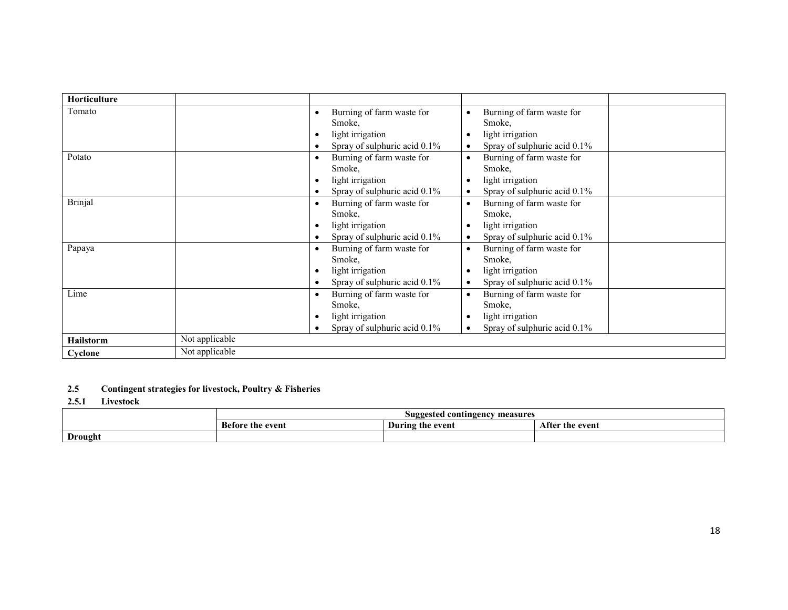| <b>Horticulture</b> |                |                                                                                         |                                                                                                                   |
|---------------------|----------------|-----------------------------------------------------------------------------------------|-------------------------------------------------------------------------------------------------------------------|
| Tomato              |                | Burning of farm waste for<br>Smoke,<br>light irrigation<br>Spray of sulphuric acid 0.1% | Burning of farm waste for<br>Smoke,<br>light irrigation<br>Spray of sulphuric acid 0.1%<br>$\bullet$              |
| Potato              |                | Burning of farm waste for<br>Smoke,<br>light irrigation<br>Spray of sulphuric acid 0.1% | Burning of farm waste for<br>$\bullet$<br>Smoke,<br>light irrigation<br>Spray of sulphuric acid 0.1%<br>$\bullet$ |
| <b>Brinjal</b>      |                | Burning of farm waste for<br>Smoke,<br>light irrigation<br>Spray of sulphuric acid 0.1% | Burning of farm waste for<br>$\bullet$<br>Smoke,<br>light irrigation<br>Spray of sulphuric acid 0.1%              |
| Papaya              |                | Burning of farm waste for<br>Smoke,<br>light irrigation<br>Spray of sulphuric acid 0.1% | Burning of farm waste for<br>$\bullet$<br>Smoke,<br>light irrigation<br>Spray of sulphuric acid 0.1%<br>$\bullet$ |
| Lime                |                | Burning of farm waste for<br>Smoke.<br>light irrigation<br>Spray of sulphuric acid 0.1% | Burning of farm waste for<br>$\bullet$<br>Smoke,<br>light irrigation<br>Spray of sulphuric acid 0.1%<br>$\bullet$ |
| <b>Hailstorm</b>    | Not applicable |                                                                                         |                                                                                                                   |
| Cyclone             | Not applicable |                                                                                         |                                                                                                                   |

#### 2.5 Contingent strategies for livestock, Poultry & Fisheries

#### 2.5.1 Livestock

|         |                     | . contingency<br>measures<br>Suggested a |                      |
|---------|---------------------|------------------------------------------|----------------------|
|         | the event<br>Betor. | During the event                         | After<br>' the event |
| Drought |                     |                                          |                      |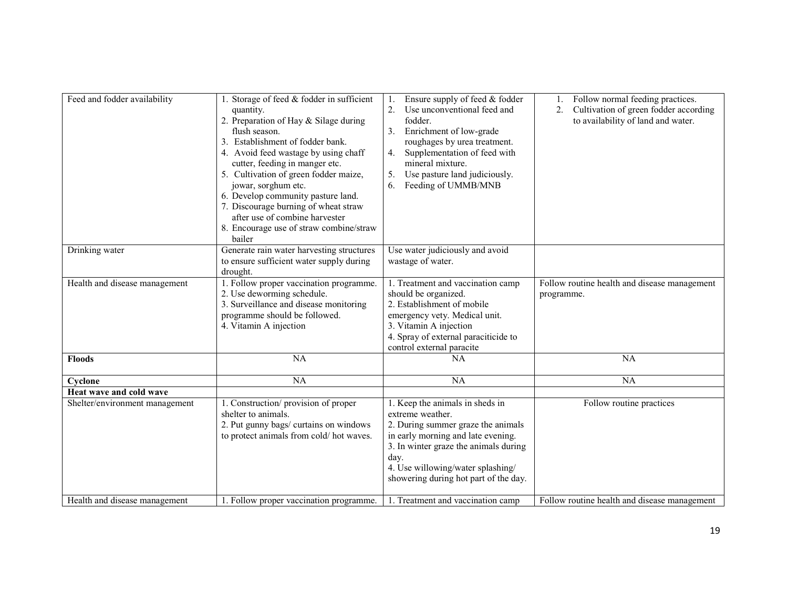| Feed and fodder availability   | 1. Storage of feed & fodder in sufficient<br>quantity.<br>2. Preparation of Hay & Silage during<br>flush season.<br>3. Establishment of fodder bank.<br>4. Avoid feed wastage by using chaff<br>cutter, feeding in manger etc.<br>5. Cultivation of green fodder maize,<br>jowar, sorghum etc.<br>6. Develop community pasture land.<br>7. Discourage burning of wheat straw<br>after use of combine harvester<br>8. Encourage use of straw combine/straw<br>bailer | Ensure supply of feed & fodder<br>1.<br>Use unconventional feed and<br>2.<br>fodder.<br>Enrichment of low-grade<br>3.<br>roughages by urea treatment.<br>Supplementation of feed with<br>4.<br>mineral mixture.<br>Use pasture land judiciously.<br>5.<br>6.<br>Feeding of UMMB/MNB | Follow normal feeding practices.<br>Cultivation of green fodder according<br>2.<br>to availability of land and water. |
|--------------------------------|---------------------------------------------------------------------------------------------------------------------------------------------------------------------------------------------------------------------------------------------------------------------------------------------------------------------------------------------------------------------------------------------------------------------------------------------------------------------|-------------------------------------------------------------------------------------------------------------------------------------------------------------------------------------------------------------------------------------------------------------------------------------|-----------------------------------------------------------------------------------------------------------------------|
| Drinking water                 | Generate rain water harvesting structures<br>to ensure sufficient water supply during<br>drought.                                                                                                                                                                                                                                                                                                                                                                   | Use water judiciously and avoid<br>wastage of water.                                                                                                                                                                                                                                |                                                                                                                       |
| Health and disease management  | 1. Follow proper vaccination programme.<br>2. Use deworming schedule.<br>3. Surveillance and disease monitoring<br>programme should be followed.<br>4. Vitamin A injection                                                                                                                                                                                                                                                                                          | 1. Treatment and vaccination camp<br>should be organized.<br>2. Establishment of mobile<br>emergency vety. Medical unit.<br>3. Vitamin A injection<br>4. Spray of external paraciticide to<br>control external paracite                                                             | Follow routine health and disease management<br>programme.                                                            |
| <b>Floods</b>                  | <b>NA</b>                                                                                                                                                                                                                                                                                                                                                                                                                                                           | <b>NA</b>                                                                                                                                                                                                                                                                           | NA                                                                                                                    |
| Cyclone                        | <b>NA</b>                                                                                                                                                                                                                                                                                                                                                                                                                                                           | <b>NA</b>                                                                                                                                                                                                                                                                           | NA                                                                                                                    |
| Heat wave and cold wave        |                                                                                                                                                                                                                                                                                                                                                                                                                                                                     |                                                                                                                                                                                                                                                                                     |                                                                                                                       |
| Shelter/environment management | 1. Construction/provision of proper<br>shelter to animals.<br>2. Put gunny bags/ curtains on windows<br>to protect animals from cold/hot waves.                                                                                                                                                                                                                                                                                                                     | 1. Keep the animals in sheds in<br>extreme weather.<br>2. During summer graze the animals<br>in early morning and late evening.<br>3. In winter graze the animals during<br>day.<br>4. Use willowing/water splashing/<br>showering during hot part of the day.                      | Follow routine practices                                                                                              |
| Health and disease management  | 1. Follow proper vaccination programme.                                                                                                                                                                                                                                                                                                                                                                                                                             | 1. Treatment and vaccination camp                                                                                                                                                                                                                                                   | Follow routine health and disease management                                                                          |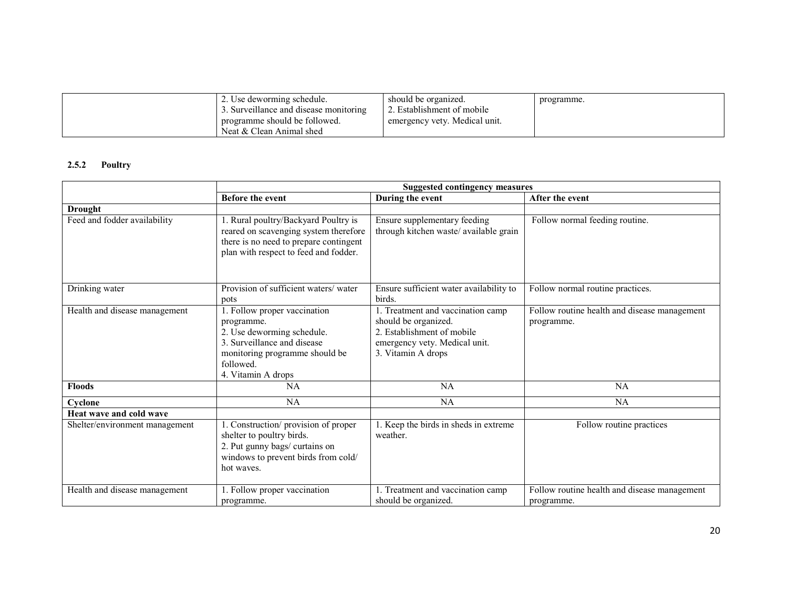| 2. Use deworming schedule.             | should be organized.          | programme. |
|----------------------------------------|-------------------------------|------------|
| 3. Surveillance and disease monitoring | 2. Establishment of mobile    |            |
| programme should be followed.          | emergency vety. Medical unit. |            |
| Neat & Clean Animal shed               |                               |            |

### 2.5.2 Poultry

|                                | <b>Suggested contingency measures</b>                                                                                                                                        |                                                                                                                                                |                                                            |  |
|--------------------------------|------------------------------------------------------------------------------------------------------------------------------------------------------------------------------|------------------------------------------------------------------------------------------------------------------------------------------------|------------------------------------------------------------|--|
|                                | <b>Before the event</b>                                                                                                                                                      | During the event                                                                                                                               | After the event                                            |  |
| <b>Drought</b>                 |                                                                                                                                                                              |                                                                                                                                                |                                                            |  |
| Feed and fodder availability   | 1. Rural poultry/Backyard Poultry is<br>reared on scavenging system therefore<br>there is no need to prepare contingent<br>plan with respect to feed and fodder.             | Ensure supplementary feeding<br>through kitchen waste/ available grain                                                                         | Follow normal feeding routine.                             |  |
| Drinking water                 | Provision of sufficient waters/water<br>pots                                                                                                                                 | Ensure sufficient water availability to<br>birds.                                                                                              | Follow normal routine practices.                           |  |
| Health and disease management  | 1. Follow proper vaccination<br>programme.<br>2. Use deworming schedule.<br>3. Surveillance and disease<br>monitoring programme should be<br>followed.<br>4. Vitamin A drops | 1. Treatment and vaccination camp<br>should be organized.<br>2. Establishment of mobile<br>emergency vety. Medical unit.<br>3. Vitamin A drops | Follow routine health and disease management<br>programme. |  |
| <b>Floods</b>                  | NA                                                                                                                                                                           | NA                                                                                                                                             | <b>NA</b>                                                  |  |
| Cyclone                        | NA                                                                                                                                                                           | NA                                                                                                                                             | NA                                                         |  |
| Heat wave and cold wave        |                                                                                                                                                                              |                                                                                                                                                |                                                            |  |
| Shelter/environment management | Construction/ provision of proper<br>shelter to poultry birds.<br>2. Put gunny bags/ curtains on<br>windows to prevent birds from cold/<br>hot waves.                        | 1. Keep the birds in sheds in extreme<br>weather.                                                                                              | Follow routine practices                                   |  |
| Health and disease management  | 1. Follow proper vaccination<br>programme.                                                                                                                                   | 1. Treatment and vaccination camp<br>should be organized.                                                                                      | Follow routine health and disease management<br>programme. |  |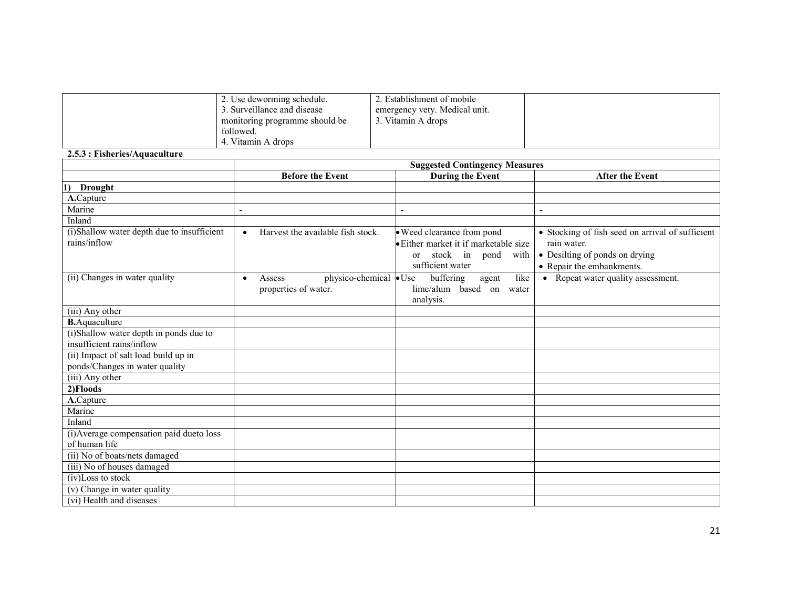| 2. Use deworming schedule.       | 2. Establishment of mobile    |  |
|----------------------------------|-------------------------------|--|
| 3. Surveillance and disease      | emergency vety. Medical unit. |  |
| I monitoring programme should be | . Vitamin A drops             |  |
| followed.                        |                               |  |
| 4. Vitamin A drops               |                               |  |

#### 2.5.3 : Fisheries/Aquaculture

|                                                                        | <b>Suggested Contingency Measures</b>                                 |                                                                                                                                      |                                                                                                                                |  |  |  |
|------------------------------------------------------------------------|-----------------------------------------------------------------------|--------------------------------------------------------------------------------------------------------------------------------------|--------------------------------------------------------------------------------------------------------------------------------|--|--|--|
|                                                                        | <b>Before the Event</b>                                               | <b>During the Event</b>                                                                                                              | <b>After the Event</b>                                                                                                         |  |  |  |
| <b>Drought</b>                                                         |                                                                       |                                                                                                                                      |                                                                                                                                |  |  |  |
| A.Capture                                                              |                                                                       |                                                                                                                                      |                                                                                                                                |  |  |  |
| Marine                                                                 | $\blacksquare$                                                        |                                                                                                                                      | $\blacksquare$                                                                                                                 |  |  |  |
| Inland                                                                 |                                                                       |                                                                                                                                      |                                                                                                                                |  |  |  |
| (i)Shallow water depth due to insufficient<br>rains/inflow             | Harvest the available fish stock.<br>$\bullet$                        | • Weed clearance from pond<br>· Either market it if marketable size<br>stock in<br>pond<br>with<br><sub>or</sub><br>sufficient water | • Stocking of fish seed on arrival of sufficient<br>rain water.<br>• Desilting of ponds on drying<br>• Repair the embankments. |  |  |  |
| (ii) Changes in water quality                                          | physico-chemical • Use<br>Assess<br>$\bullet$<br>properties of water. | buffering<br>like<br>agent<br>lime/alum based on water<br>analysis.                                                                  | • Repeat water quality assessment.                                                                                             |  |  |  |
| (iii) Any other                                                        |                                                                       |                                                                                                                                      |                                                                                                                                |  |  |  |
| <b>B.</b> Aquaculture                                                  |                                                                       |                                                                                                                                      |                                                                                                                                |  |  |  |
| (i)Shallow water depth in ponds due to<br>insufficient rains/inflow    |                                                                       |                                                                                                                                      |                                                                                                                                |  |  |  |
| (ii) Impact of salt load build up in<br>ponds/Changes in water quality |                                                                       |                                                                                                                                      |                                                                                                                                |  |  |  |
| (iii) Any other                                                        |                                                                       |                                                                                                                                      |                                                                                                                                |  |  |  |
| 2)Floods                                                               |                                                                       |                                                                                                                                      |                                                                                                                                |  |  |  |
| A.Capture                                                              |                                                                       |                                                                                                                                      |                                                                                                                                |  |  |  |
| Marine                                                                 |                                                                       |                                                                                                                                      |                                                                                                                                |  |  |  |
| Inland                                                                 |                                                                       |                                                                                                                                      |                                                                                                                                |  |  |  |
| (i) Average compensation paid dueto loss<br>of human life              |                                                                       |                                                                                                                                      |                                                                                                                                |  |  |  |
| (ii) No of boats/nets damaged                                          |                                                                       |                                                                                                                                      |                                                                                                                                |  |  |  |
| (iii) No of houses damaged                                             |                                                                       |                                                                                                                                      |                                                                                                                                |  |  |  |
| $\overline{(iv)$ Loss to stock                                         |                                                                       |                                                                                                                                      |                                                                                                                                |  |  |  |
| (v) Change in water quality                                            |                                                                       |                                                                                                                                      |                                                                                                                                |  |  |  |
| (vi) Health and diseases                                               |                                                                       |                                                                                                                                      |                                                                                                                                |  |  |  |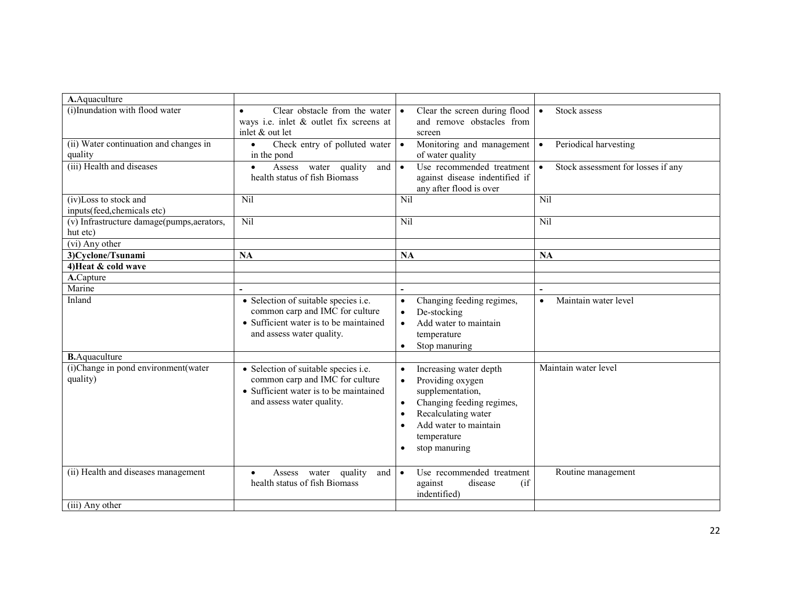| A.Aquaculture                              |                                                                           |                                                                          |                                                 |
|--------------------------------------------|---------------------------------------------------------------------------|--------------------------------------------------------------------------|-------------------------------------------------|
| (i) Inundation with flood water            | Clear obstacle from the water<br>$\bullet$                                | Clear the screen during flood                                            | Stock assess<br>$\bullet$                       |
|                                            | ways i.e. inlet & outlet fix screens at                                   | and remove obstacles from                                                |                                                 |
|                                            | inlet & out let                                                           | screen                                                                   |                                                 |
| (ii) Water continuation and changes in     | Check entry of polluted water                                             | Monitoring and management<br>$\bullet$                                   | Periodical harvesting<br>$\bullet$              |
| quality                                    | in the pond                                                               | of water quality                                                         |                                                 |
| (iii) Health and diseases                  | Assess water quality<br>and<br>$\bullet$<br>health status of fish Biomass | Use recommended treatment<br>$\bullet$<br>against disease indentified if | Stock assessment for losses if any<br>$\bullet$ |
|                                            |                                                                           | any after flood is over                                                  |                                                 |
| (iv)Loss to stock and                      | Nil                                                                       | <b>Nil</b>                                                               | <b>Nil</b>                                      |
| inputs(feed, chemicals etc)                |                                                                           |                                                                          |                                                 |
| (v) Infrastructure damage(pumps, aerators, | <b>Nil</b>                                                                | <b>Nil</b>                                                               | <b>Nil</b>                                      |
| hut etc)                                   |                                                                           |                                                                          |                                                 |
| (vi) Any other                             |                                                                           |                                                                          |                                                 |
| 3)Cyclone/Tsunami                          | NA                                                                        | <b>NA</b>                                                                | <b>NA</b>                                       |
| 4) Heat & cold wave                        |                                                                           |                                                                          |                                                 |
| A.Capture                                  |                                                                           |                                                                          |                                                 |
| Marine                                     |                                                                           |                                                                          | $\overline{\phantom{a}}$                        |
| Inland                                     | • Selection of suitable species i.e.                                      | Changing feeding regimes,<br>$\bullet$                                   | Maintain water level<br>$\bullet$               |
|                                            | common carp and IMC for culture                                           | De-stocking                                                              |                                                 |
|                                            | • Sufficient water is to be maintained                                    | Add water to maintain                                                    |                                                 |
|                                            | and assess water quality.                                                 | temperature                                                              |                                                 |
|                                            |                                                                           | Stop manuring<br>$\bullet$                                               |                                                 |
| <b>B.</b> Aquaculture                      |                                                                           |                                                                          |                                                 |
| (i)Change in pond environment(water        | • Selection of suitable species i.e.                                      | Increasing water depth                                                   | Maintain water level                            |
| quality)                                   | common carp and IMC for culture<br>• Sufficient water is to be maintained | Providing oxygen<br>$\bullet$                                            |                                                 |
|                                            | and assess water quality.                                                 | supplementation,                                                         |                                                 |
|                                            |                                                                           | Changing feeding regimes,<br>Recalculating water<br>$\bullet$            |                                                 |
|                                            |                                                                           | Add water to maintain<br>$\bullet$                                       |                                                 |
|                                            |                                                                           | temperature                                                              |                                                 |
|                                            |                                                                           | stop manuring<br>$\bullet$                                               |                                                 |
|                                            |                                                                           |                                                                          |                                                 |
| (ii) Health and diseases management        | water<br>quality<br>and<br>Assess                                         | Use recommended treatment<br>$\bullet$                                   | Routine management                              |
|                                            | health status of fish Biomass                                             | against<br>disease<br>(i f)                                              |                                                 |
|                                            |                                                                           | indentified)                                                             |                                                 |
| (iii) Any other                            |                                                                           |                                                                          |                                                 |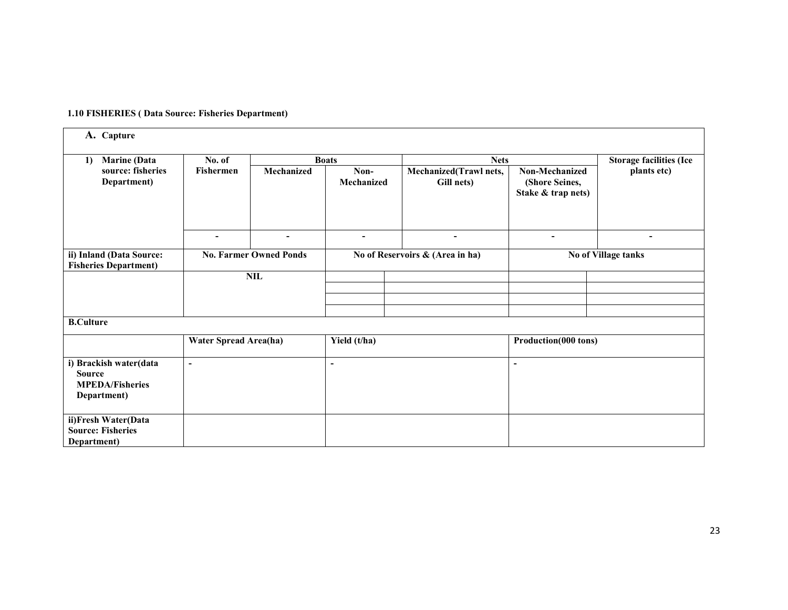#### 1.10 FISHERIES ( Data Source: Fisheries Department)

| A. Capture                                                                       |                                          |            |                                 |                                      |                                                        |                                |
|----------------------------------------------------------------------------------|------------------------------------------|------------|---------------------------------|--------------------------------------|--------------------------------------------------------|--------------------------------|
| <b>Marine</b> (Data<br>1)                                                        | No. of                                   |            | <b>Boats</b>                    | <b>Nets</b>                          |                                                        | <b>Storage facilities (Ice</b> |
| source: fisheries<br>Department)                                                 | <b>Fishermen</b>                         | Mechanized | Non-<br>Mechanized              | Mechanized(Trawl nets,<br>Gill nets) | Non-Mechanized<br>(Shore Seines,<br>Stake & trap nets) | plants etc)                    |
|                                                                                  | ٠                                        | ۰          | $\overline{\phantom{a}}$        | ۰                                    | $\blacksquare$                                         |                                |
| ii) Inland (Data Source:<br><b>Fisheries Department)</b>                         | <b>No. Farmer Owned Ponds</b>            |            | No of Reservoirs & (Area in ha) |                                      | No of Village tanks                                    |                                |
|                                                                                  | $\ensuremath{\textnormal{\textbf{NIL}}}$ |            |                                 |                                      |                                                        |                                |
|                                                                                  |                                          |            |                                 |                                      |                                                        |                                |
|                                                                                  |                                          |            |                                 |                                      |                                                        |                                |
|                                                                                  |                                          |            |                                 |                                      |                                                        |                                |
| <b>B.Culture</b>                                                                 |                                          |            |                                 |                                      |                                                        |                                |
|                                                                                  | <b>Water Spread Area(ha)</b>             |            | Yield (t/ha)                    |                                      | Production(000 tons)                                   |                                |
| i) Brackish water(data<br><b>Source</b><br><b>MPEDA/Fisheries</b><br>Department) | $\blacksquare$                           |            | $\blacksquare$                  |                                      | ٠                                                      |                                |
| ii)Fresh Water(Data<br><b>Source: Fisheries</b><br>Department)                   |                                          |            |                                 |                                      |                                                        |                                |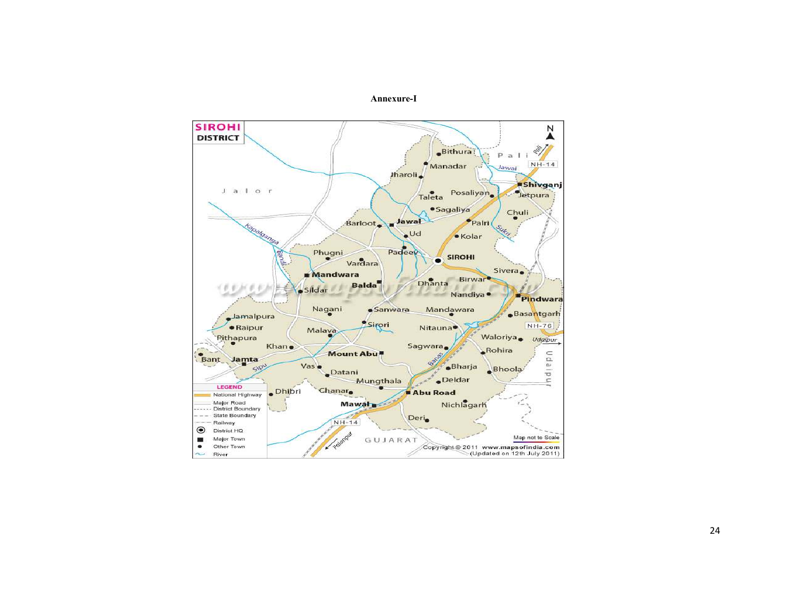#### Annexure-I